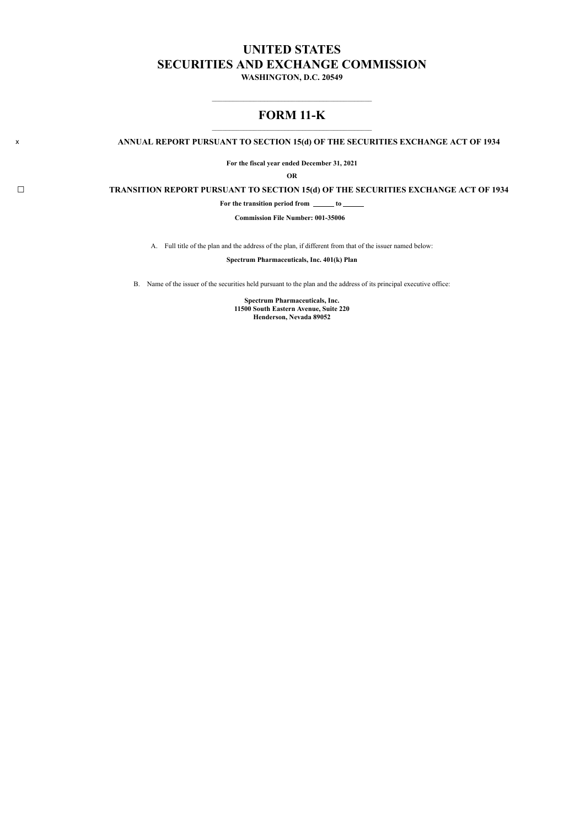# **UNITED STATES SECURITIES AND EXCHANGE COMMISSION**

**WASHINGTON, D.C. 20549**

## $\mathcal{L}_\text{max}$  and the contract of the contract of the contract of the contract of the contract of the contract of the contract of the contract of the contract of the contract of the contract of the contract of the contrac **FORM 11-K** \_\_\_\_\_\_\_\_\_\_\_\_\_\_\_\_\_\_\_\_\_\_\_\_\_\_\_\_\_\_\_\_\_\_\_\_\_\_\_\_\_\_\_\_\_\_

x **ANNUAL REPORT PURSUANT TO SECTION 15(d) OF THE SECURITIES EXCHANGE ACT OF 1934**

**For the fiscal year ended December 31, 2021**

**OR**

☐ **TRANSITION REPORT PURSUANT TO SECTION 15(d) OF THE SECURITIES EXCHANGE ACT OF 1934**

**For the transition period from to**

**Commission File Number: 001-35006**

A. Full title of the plan and the address of the plan, if different from that of the issuer named below:

**Spectrum Pharmaceuticals, Inc. 401(k) Plan**

B. Name of the issuer of the securities held pursuant to the plan and the address of its principal executive office:

**Spectrum Pharmaceuticals, Inc. 11500 South Eastern Avenue, Suite 220 Henderson, Nevada 89052**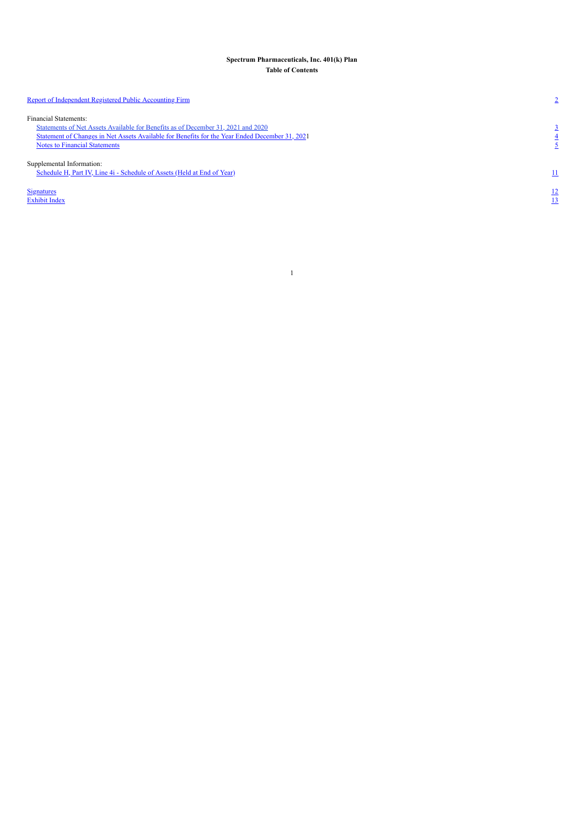## **Spectrum Pharmaceuticals, Inc. 401(k) Plan Table of Contents**

<span id="page-1-0"></span>

| <b>Report of Independent Registered Public Accounting Firm</b>                                                                                                                                                                                             |    |
|------------------------------------------------------------------------------------------------------------------------------------------------------------------------------------------------------------------------------------------------------------|----|
| <b>Financial Statements:</b><br>Statements of Net Assets Available for Benefits as of December 31, 2021 and 2020<br>Statement of Changes in Net Assets Available for Benefits for the Year Ended December 31, 2021<br><b>Notes to Financial Statements</b> |    |
| Supplemental Information:<br>Schedule H, Part IV, Line 4i - Schedule of Assets (Held at End of Year)                                                                                                                                                       |    |
| <b>Signatures</b><br><b>Exhibit Index</b>                                                                                                                                                                                                                  | 13 |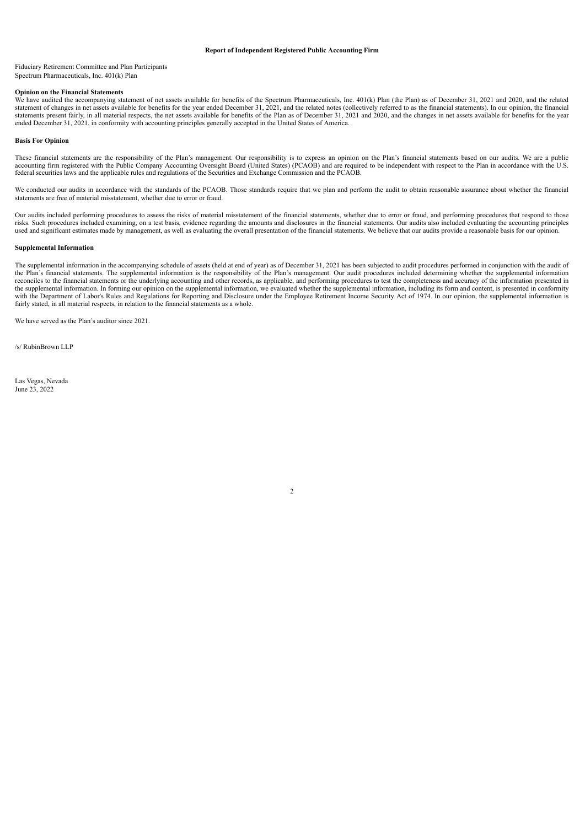#### **Report of Independent Registered Public Accounting Firm**

Fiduciary Retirement Committee and Plan Participants Spectrum Pharmaceuticals, Inc. 401(k) Plan

#### **Opinion on the Financial Statements**

We have audited the accompanying statement of net assets available for benefits of the Spectrum Pharmaceuticals, Inc. 401(k) Plan (the Plan) as of December 31, 2021 and 2020, and the related statement of changes in net assets available for benefits for the year ended December 31, 2021, and the related notes (collectively referred to as the financial statements). In our opinion, the financial statements present fairly, in all material respects, the net assets available for benefits of the Plan as of December 31, 2021 and 2020, and the changes in net assets available for benefits for the year ended December 31, 2021, in conformity with accounting principles generally accepted in the United States of America.

#### **Basis For Opinion**

These financial statements are the responsibility of the Plan's management. Our responsibility is to express an opinion on the Plan's financial statements based on our audits. We are a public accounting firm registered with the Public Company Accounting Oversight Board (United States) (PCAOB) and are required to be independent with respect to the Plan in accordance with the U.S. federal securities laws and the applicable rules and regulations of the Securities and Exchange Commission and the PCAOB.

We conducted our audits in accordance with the standards of the PCAOB. Those standards require that we plan and perform the audit to obtain reasonable assurance about whether the financial statements are free of material misstatement, whether due to error or fraud.

Our audits included performing procedures to assess the risks of material misstatement of the financial statements, whether due to error or fraud, and performing procedures that respond to those risks. Such procedures included examining, on a test basis, evidence regarding the amounts and disclosures in the financial statements. Our audits also included evaluating the accounting principles used and significant estimates made by management, as well as evaluating the overall presentation of the financial statements. We believe that our audits provide a reasonable basis for our opinion.

#### **Supplemental Information**

The supplemental information in the accompanying schedule of assets (held at end of year) as of December 31, 2021 has been subjected to audit procedures performed in conjunction with the audit of the Plan's financial statements. The supplemental information is the responsibility of the Plan's management. Our audit procedures included determining whether the supplemental information reconciles to the financial statements or the underlying accounting and other records, as applicable, and performing procedures to test the completeness and accuracy of the information presented in the supplemental information. In forming our opinion on the supplemental information, we evaluated whether the supplemental information, including its form and content, is presented in conformity with the Department of Labor's Rules and Regulations for Reporting and Disclosure under the Employee Retirement Income Security Act of 1974. In our opinion, the supplemental information is fairly stated, in all material re

We have served as the Plan's auditor since 2021.

/s/ RubinBrown LLP

Las Vegas, Nevada June 23, 2022

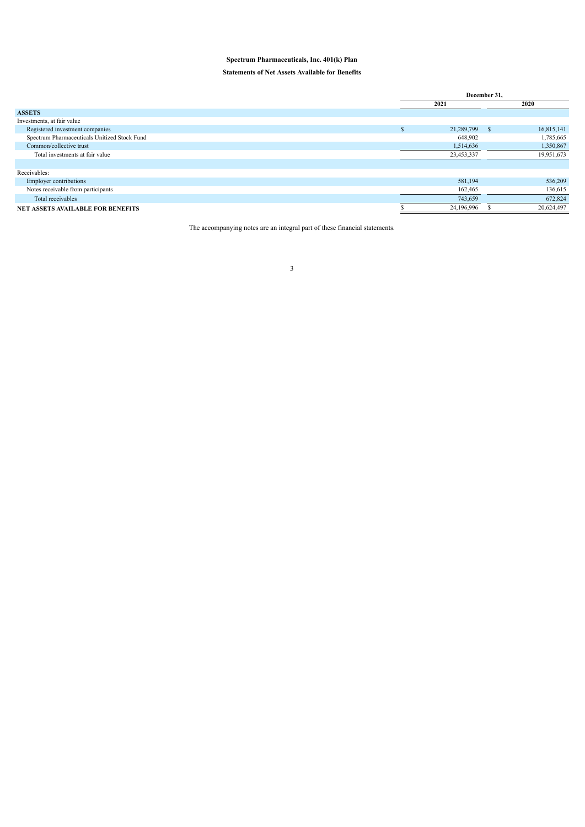## **Spectrum Pharmaceuticals, Inc. 401(k) Plan**

## **Statements of Net Assets Available for Benefits**

<span id="page-3-1"></span><span id="page-3-0"></span>

|                                              | December 31,  |      |            |  |
|----------------------------------------------|---------------|------|------------|--|
|                                              | 2021          | 2020 |            |  |
| <b>ASSETS</b>                                |               |      |            |  |
| Investments, at fair value                   |               |      |            |  |
| Registered investment companies              | 21,289,799 \$ |      | 16,815,141 |  |
| Spectrum Pharmaceuticals Unitized Stock Fund | 648,902       |      | 1,785,665  |  |
| Common/collective trust                      | 1,514,636     |      | 1,350,867  |  |
| Total investments at fair value              | 23,453,337    |      | 19,951,673 |  |
|                                              |               |      |            |  |
| Receivables:                                 |               |      |            |  |
| <b>Employer contributions</b>                | 581,194       |      | 536,209    |  |
| Notes receivable from participants           | 162,465       |      | 136,615    |  |
| Total receivables                            | 743,659       |      | 672,824    |  |
| <b>NET ASSETS AVAILABLE FOR BENEFITS</b>     | 24,196,996    |      | 20,624,497 |  |
|                                              |               |      |            |  |

The accompanying notes are an integral part of these financial statements.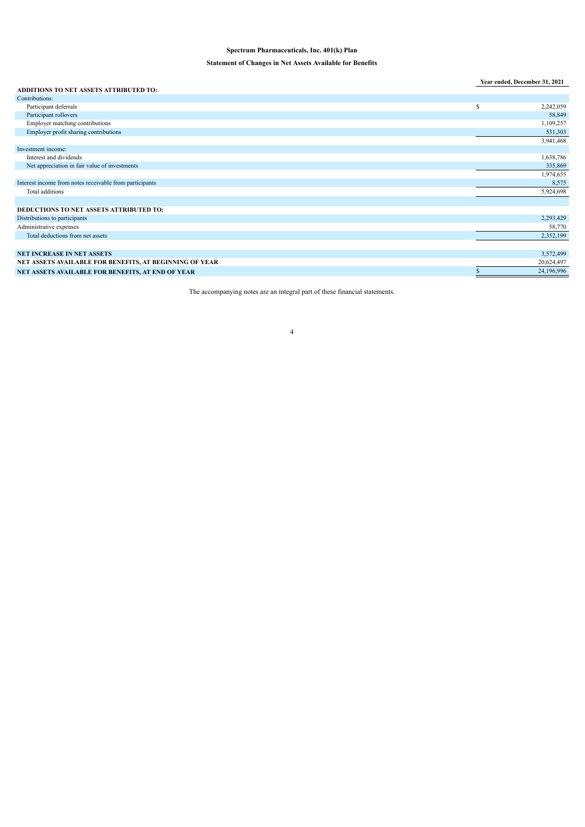## **Spectrum Pharmaceuticals, Inc. 401(k) Plan**

## **Statement of Changes in Net Assets Available for Benefits**

| <b>ADDITIONS TO NET ASSETS ATTRIBUTED TO:</b><br>Contributions:<br>Participant deferrals<br>S<br>Participant rollovers<br>Employer matching contributions<br>Employer profit sharing contributions<br>Investment income:<br>Interest and dividends<br>Net appreciation in fair value of investments | Year ended, December 31, 2021 |
|-----------------------------------------------------------------------------------------------------------------------------------------------------------------------------------------------------------------------------------------------------------------------------------------------------|-------------------------------|
|                                                                                                                                                                                                                                                                                                     |                               |
|                                                                                                                                                                                                                                                                                                     |                               |
|                                                                                                                                                                                                                                                                                                     | 2,242,059                     |
|                                                                                                                                                                                                                                                                                                     | 58,849                        |
|                                                                                                                                                                                                                                                                                                     | 1,109,257                     |
|                                                                                                                                                                                                                                                                                                     | 531,303                       |
|                                                                                                                                                                                                                                                                                                     | 3,941,468                     |
|                                                                                                                                                                                                                                                                                                     |                               |
|                                                                                                                                                                                                                                                                                                     | 1,638,786                     |
|                                                                                                                                                                                                                                                                                                     | 335,869                       |
|                                                                                                                                                                                                                                                                                                     | 1,974,655                     |
| Interest income from notes receivable from participants                                                                                                                                                                                                                                             | 8,575                         |
| Total additions                                                                                                                                                                                                                                                                                     | 5,924,698                     |
|                                                                                                                                                                                                                                                                                                     |                               |
| <b>DEDUCTIONS TO NET ASSETS ATTRIBUTED TO:</b>                                                                                                                                                                                                                                                      |                               |
| Distributions to participants                                                                                                                                                                                                                                                                       | 2,293,429                     |
| Administrative expenses                                                                                                                                                                                                                                                                             | 58,770                        |
| Total deductions from net assets                                                                                                                                                                                                                                                                    | 2,352,199                     |
|                                                                                                                                                                                                                                                                                                     |                               |
| <b>NET INCREASE IN NET ASSETS</b>                                                                                                                                                                                                                                                                   | 3,572,499                     |
| NET ASSETS AVAILABLE FOR BENEFITS, AT BEGINNING OF YEAR                                                                                                                                                                                                                                             | 20,624,497                    |
| NET ASSETS AVAILABLE FOR BENEFITS, AT END OF YEAR                                                                                                                                                                                                                                                   | 24,196,996                    |

<span id="page-4-0"></span>The accompanying notes are an integral part of these financial statements.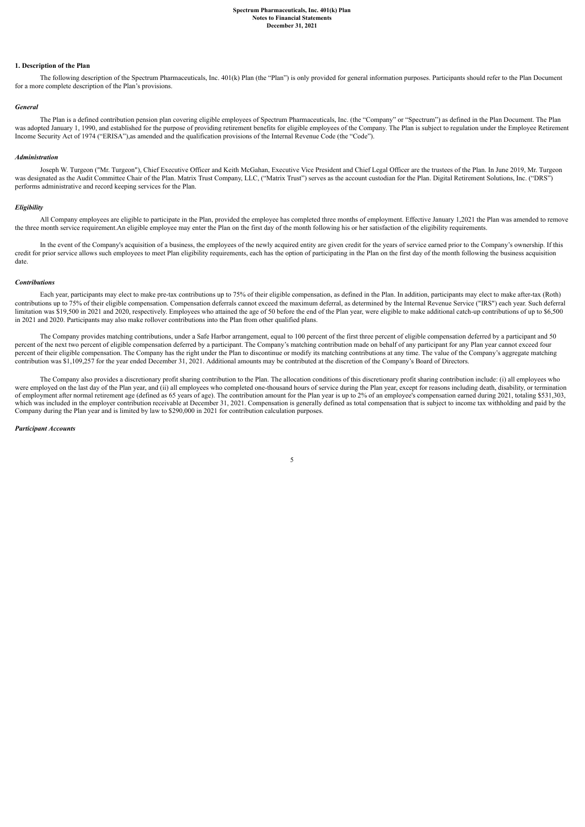#### **Spectrum Pharmaceuticals, Inc. 401(k) Plan Notes to Financial Statements December 31, 2021**

#### **1. Description of the Plan**

The following description of the Spectrum Pharmaceuticals, Inc. 401(k) Plan (the "Plan") is only provided for general information purposes. Participants should refer to the Plan Document for a more complete description of the Plan's provisions.

#### *General*

The Plan is a defined contribution pension plan covering eligible employees of Spectrum Pharmaceuticals, Inc. (the "Company" or "Spectrum") as defined in the Plan Document. The Plan was adopted January 1, 1990, and established for the purpose of providing retirement benefits for eligible employees of the Company. The Plan is subject to regulation under the Employee Retirement Income Security Act of 1974 ("ERISA"),as amended and the qualification provisions of the Internal Revenue Code (the "Code").

#### *Administration*

Joseph W. Turgeon ("Mr. Turgeon"), Chief Executive Officer and Keith McGahan, Executive Vice President and Chief Legal Officer are the trustees of the Plan. In June 2019, Mr. Turgeon was designated as the Audit Committee Chair of the Plan. Matrix Trust Company, LLC, ("Matrix Trust") serves as the account custodian for the Plan. Digital Retirement Solutions, Inc. ("DRS") performs administrative and record keeping services for the Plan.

#### *Eligibility*

All Company employees are eligible to participate in the Plan, provided the employee has completed three months of employment. Effective January 1,2021 the Plan was amended to remove the three month service requirement.An eligible employee may enter the Plan on the first day of the month following his or her satisfaction of the eligibility requirements.

In the event of the Company's acquisition of a business, the employees of the newly acquired entity are given credit for the years of service earned prior to the Company's ownership. If this credit for prior service allows such employees to meet Plan eligibility requirements, each has the option of participating in the Plan on the first day of the month following the business acquisition date.

#### *Contributions*

Each year, participants may elect to make pre-tax contributions up to 75% of their eligible compensation, as defined in the Plan. In addition, participants may elect to make after-tax (Roth) contributions up to 75% of their eligible compensation. Compensation deferrals cannot exceed the maximum deferral, as determined by the Internal Revenue Service ("IRS") each year. Such deferral limitation was \$19,500 in 2021 and 2020, respectively. Employees who attained the age of 50 before the end of the Plan year, were eligible to make additional catch-up contributions of up to \$6,500 in 2021 and 2020. Participants may also make rollover contributions into the Plan from other qualified plans.

The Company provides matching contributions, under a Safe Harbor arrangement, equal to 100 percent of the first three percent of eligible compensation deferred by a participant and 50 percent of the next two percent of eligible compensation deferred by a participant. The Company's matching contribution made on behalf of any participant for any Plan year cannot exceed four percent of their eligible compensation. The Company has the right under the Plan to discontinue or modify its matching contributions at any time. The value of the Company's aggregate matching contribution was \$1,109,257 for the year ended December 31, 2021. Additional amounts may be contributed at the discretion of the Company's Board of Directors.

The Company also provides a discretionary profit sharing contribution to the Plan. The allocation conditions of this discretionary profit sharing contribution include: (i) all employees who were employed on the last day of the Plan year, and (ii) all employees who completed one-thousand hours of service during the Plan year, except for reasons including death, disability, or termination of employment after normal retirement age (defined as 65 years of age). The contribution amount for the Plan year is up to 2% of an employee's compensation earned during 2021, totaling \$531,303, which was included in the employer contribution receivable at December 31, 2021. Compensation is generally defined as total compensation that is subject to income tax withholding and paid by the Company during the Plan year and is limited by law to \$290,000 in 2021 for contribution calculation purposes.

*Participant Accounts*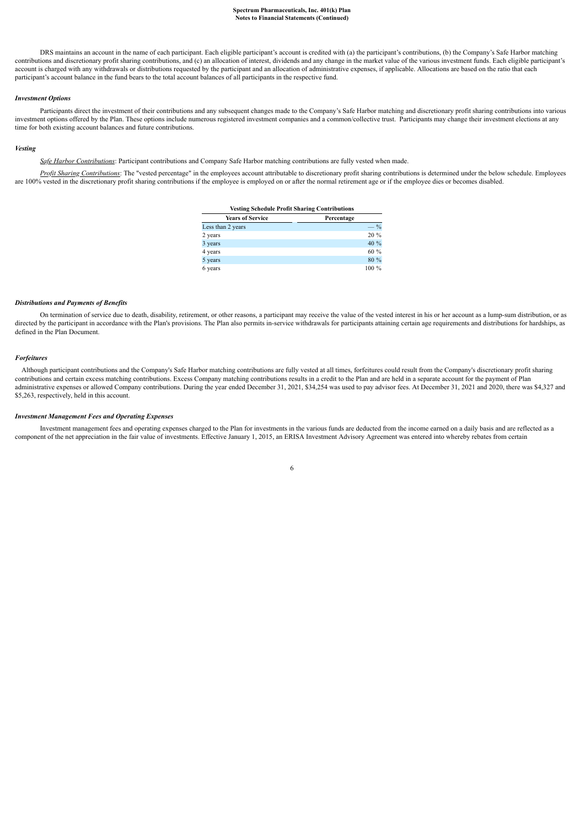DRS maintains an account in the name of each participant. Each eligible participant's account is credited with (a) the participant's contributions, (b) the Company's Safe Harbor matching contributions and discretionary profit sharing contributions, and (c) an allocation of interest, dividends and any change in the market value of the various investment funds. Each eligible participant's account is charged with any withdrawals or distributions requested by the participant and an allocation of administrative expenses, if applicable. Allocations are based on the ratio that each participant's account balance in the fund bears to the total account balances of all participants in the respective fund.

#### *Investment Options*

Participants direct the investment of their contributions and any subsequent changes made to the Company's Safe Harbor matching and discretionary profit sharing contributions into various investment options offered by the Plan. These options include numerous registered investment companies and a common/collective trust. Participants may change their investment elections at any time for both existing account balances and future contributions.

#### *Vesting*

*Safe Harbor Contributions*: Participant contributions and Company Safe Harbor matching contributions are fully vested when made.

*Profit Sharing Contributions*: The "vested percentage" in the employees account attributable to discretionary profit sharing contributions is determined under the below schedule. Employees are 100% vested in the discretionary profit sharing contributions if the employee is employed on or after the normal retirement age or if the employee dies or becomes disabled.

| <b>Vesting Schedule Profit Sharing Contributions</b> |                 |  |  |  |
|------------------------------------------------------|-----------------|--|--|--|
| <b>Years of Service</b>                              | Percentage      |  |  |  |
| Less than 2 years                                    | $- \frac{9}{6}$ |  |  |  |
| 2 years                                              | 20 %            |  |  |  |
| 3 years                                              | 40 %            |  |  |  |
| 4 years                                              | 60 %            |  |  |  |
| 5 years                                              | 80 %            |  |  |  |
| 6 years                                              | 100 %           |  |  |  |

#### *Distributions and Payments of Benefits*

On termination of service due to death, disability, retirement, or other reasons, a participant may receive the value of the vested interest in his or her account as a lump-sum distribution, or as directed by the participant in accordance with the Plan's provisions. The Plan also permits in-service withdrawals for participants attaining certain age requirements and distributions for hardships, as defined in the Plan Document.

#### *Forfeitures*

Although participant contributions and the Company's Safe Harbor matching contributions are fully vested at all times, forfeitures could result from the Company's discretionary profit sharing contributions and certain excess matching contributions. Excess Company matching contributions results in a credit to the Plan and are held in a separate account for the payment of Plan administrative expenses or allowed Company contributions. During the year ended December 31, 2021, \$34,254 was used to pay advisor fees. At December 31, 2021 and 2020, there was \$4,327 and \$5,263, respectively, held in this account.

#### *Investment Management Fees and Operating Expenses*

Investment management fees and operating expenses charged to the Plan for investments in the various funds are deducted from the income earned on a daily basis and are reflected as a component of the net appreciation in the fair value of investments. Effective January 1, 2015, an ERISA Investment Advisory Agreement was entered into whereby rebates from certain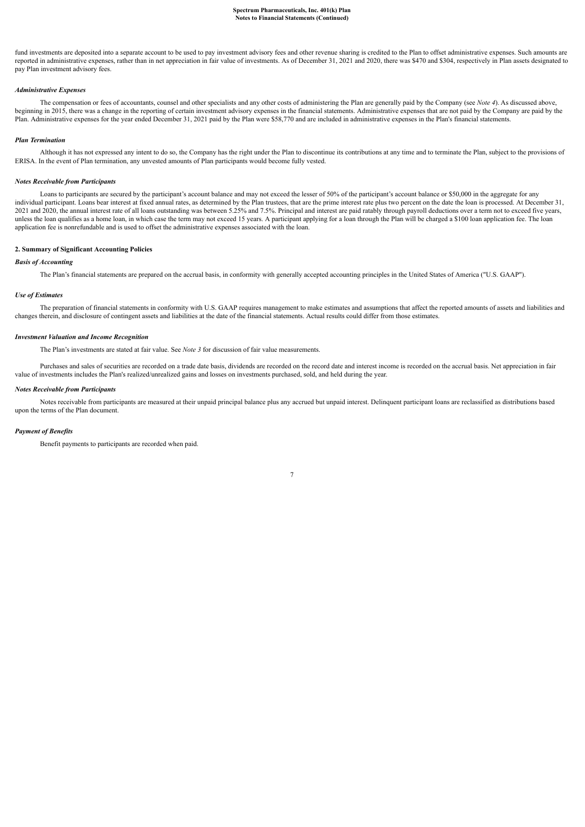fund investments are deposited into a separate account to be used to pay investment advisory fees and other revenue sharing is credited to the Plan to offset administrative expenses. Such amounts are reported in administrative expenses, rather than in net appreciation in fair value of investments. As of December 31, 2021 and 2020, there was \$470 and \$304, respectively in Plan assets designated to pay Plan investment advisory fees.

#### *Administrative Expenses*

The compensation or fees of accountants, counsel and other specialists and any other costs of administering the Plan are generally paid by the Company (see *Note 4*). As discussed above, beginning in 2015, there was a change in the reporting of certain investment advisory expenses in the financial statements. Administrative expenses that are not paid by the Company are paid by the Plan. Administrative expenses for the year ended December 31, 2021 paid by the Plan were \$58,770 and are included in administrative expenses in the Plan's financial statements.

#### *Plan Termination*

Although it has not expressed any intent to do so, the Company has the right under the Plan to discontinue its contributions at any time and to terminate the Plan, subject to the provisions of ERISA. In the event of Plan termination, any unvested amounts of Plan participants would become fully vested.

#### *Notes Receivable from Participants*

Loans to participants are secured by the participant's account balance and may not exceed the lesser of 50% of the participant's account balance or \$50,000 in the aggregate for any individual participant. Loans bear interest at fixed annual rates, as determined by the Plan trustees, that are the prime interest rate plus two percent on the date the loan is processed. At December 31, 2021 and 2020, the annual interest rate of all loans outstanding was between 5.25% and 7.5%. Principal and interest are paid ratably through payroll deductions over a term not to exceed five years, unless the loan qualifies as a home loan, in which case the term may not exceed 15 years. A participant applying for a loan through the Plan will be charged a \$100 loan application fee. The loan application fee is nonrefundable and is used to offset the administrative expenses associated with the loan.

## **2. Summary of Significant Accounting Policies**

#### *Basis of Accounting*

The Plan's financial statements are prepared on the accrual basis, in conformity with generally accepted accounting principles in the United States of America ("U.S. GAAP").

#### *Use of Estimates*

The preparation of financial statements in conformity with U.S. GAAP requires management to make estimates and assumptions that affect the reported amounts of assets and liabilities and changes therein, and disclosure of contingent assets and liabilities at the date of the financial statements. Actual results could differ from those estimates.

#### *Investment Valuation and Income Recognition*

The Plan's investments are stated at fair value. See *Note 3* for discussion of fair value measurements.

Purchases and sales of securities are recorded on a trade date basis, dividends are recorded on the record date and interest income is recorded on the accrual basis. Net appreciation in fair value of investments includes the Plan's realized/unrealized gains and losses on investments purchased, sold, and held during the year.

#### *Notes Receivable from Participants*

Notes receivable from participants are measured at their unpaid principal balance plus any accrued but unpaid interest. Delinquent participant loans are reclassified as distributions based upon the terms of the Plan document.

7

#### *Payment of Benefits*

Benefit payments to participants are recorded when paid.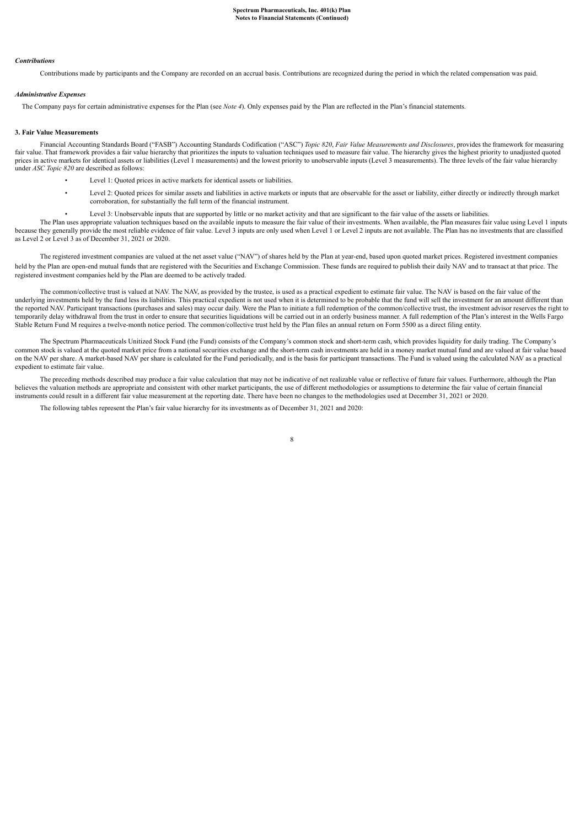#### *Contributions*

Contributions made by participants and the Company are recorded on an accrual basis. Contributions are recognized during the period in which the related compensation was paid.

#### *Administrative Expenses*

The Company pays for certain administrative expenses for the Plan (see *Note 4*). Only expenses paid by the Plan are reflected in the Plan's financial statements.

#### **3. Fair Value Measurements**

Financial Accounting Standards Board ("FASB") Accounting Standards Codification ("ASC") Topic 820, Fair Value Measurements and Disclosures, provides the framework for measuring fair value. That framework provides a fair value hierarchy that prioritizes the inputs to valuation techniques used to measure fair value. The hierarchy gives the highest priority to unadjusted quoted prices in active markets for identical assets or liabilities (Level 1 measurements) and the lowest priority to unobservable inputs (Level 3 measurements). The three levels of the fair value hierarchy under *ASC Topic 820* are described as follows:

- Level 1: Quoted prices in active markets for identical assets or liabilities.
- Level 2: Quoted prices for similar assets and liabilities in active markets or inputs that are observable for the asset or liability, either directly or indirectly through market corroboration, for substantially the full term of the financial instrument.
	- Level 3: Unobservable inputs that are supported by little or no market activity and that are significant to the fair value of the assets or liabilities.

The Plan uses appropriate valuation techniques based on the available inputs to measure the fair value of their investments. When available, the Plan measures fair value using Level 1 inputs because they generally provide the most reliable evidence of fair value. Level 3 inputs are only used when Level 1 or Level 2 inputs are not available. The Plan has no investments that are classified as Level 2 or Level 3 as of December 31, 2021 or 2020.

The registered investment companies are valued at the net asset value ("NAV") of shares held by the Plan at year-end, based upon quoted market prices. Registered investment companies held by the Plan are open-end mutual funds that are registered with the Securities and Exchange Commission. These funds are required to publish their daily NAV and to transact at that price. The registered investment companies held by the Plan are deemed to be actively traded.

The common/collective trust is valued at NAV. The NAV, as provided by the trustee, is used as a practical expedient to estimate fair value. The NAV is based on the fair value of the underlying investments held by the fund less its liabilities. This practical expedient is not used when it is determined to be probable that the fund will sell the investment for an amount different than the reported NAV. Participant transactions (purchases and sales) may occur daily. Were the Plan to initiate a full redemption of the common/collective trust, the investment advisor reserves the right to temporarily delay withdrawal from the trust in order to ensure that securities liquidations will be carried out in an orderly business manner. A full redemption of the Plan's interest in the Wells Fargo Stable Return Fund M requires a twelve-month notice period. The common/collective trust held by the Plan files an annual return on Form 5500 as a direct filing entity.

The Spectrum Pharmaceuticals Unitized Stock Fund (the Fund) consists of the Company's common stock and short-term cash, which provides liquidity for daily trading. The Company's common stock is valued at the quoted market price from a national securities exchange and the short-term cash investments are held in a money market mutual fund and are valued at fair value based on the NAV per share. A market-based NAV per share is calculated for the Fund periodically, and is the basis for participant transactions. The Fund is valued using the calculated NAV as a practical expedient to estimate fair value.

The preceding methods described may produce a fair value calculation that may not be indicative of net realizable value or reflective of future fair values. Furthermore, although the Plan believes the valuation methods are appropriate and consistent with other market participants, the use of different methodologies or assumptions to determine the fair value of certain financial instruments could result in a different fair value measurement at the reporting date. There have been no changes to the methodologies used at December 31, 2021 or 2020.

8

The following tables represent the Plan's fair value hierarchy for its investments as of December 31, 2021 and 2020: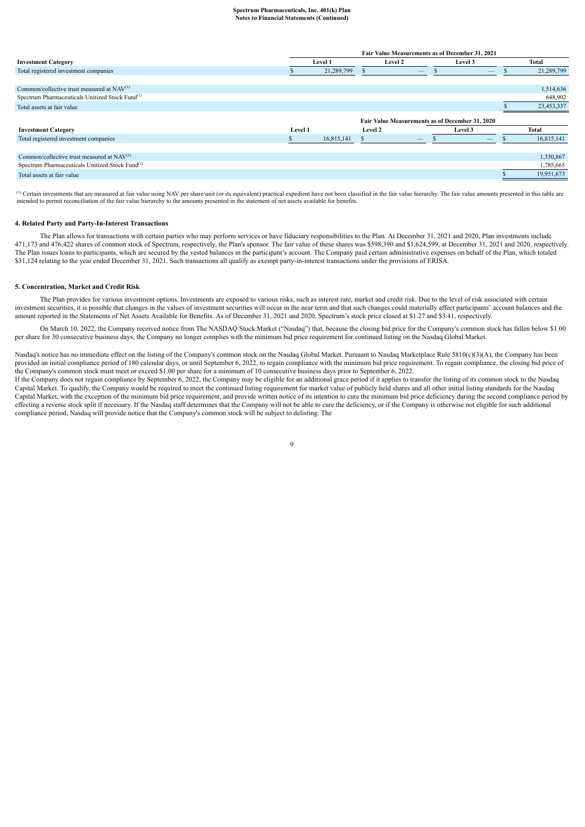|                                                             | Fair Value Measurements as of December 31, 2021 |            |         |  |                |   |  |              |
|-------------------------------------------------------------|-------------------------------------------------|------------|---------|--|----------------|---|--|--------------|
| <b>Investment Category</b>                                  |                                                 | Level 1    | Level 2 |  | <b>Level 3</b> |   |  | <b>Total</b> |
| Total registered investment companies                       |                                                 | 21,289,799 |         |  |                | – |  | 21,289,799   |
|                                                             |                                                 |            |         |  |                |   |  |              |
| Common/collective trust measured at $NAV^{(1)}$             |                                                 |            |         |  |                |   |  | 1,514,636    |
| Spectrum Pharmaceuticals Unitized Stock Fund <sup>(1)</sup> |                                                 |            |         |  |                |   |  | 648,902      |
| Total assets at fair value                                  |                                                 |            |         |  |                |   |  | 23,453,337   |
|                                                             |                                                 |            |         |  |                |   |  |              |
|                                                             | Fair Value Measurements as of December 31, 2020 |            |         |  |                |   |  |              |
| <b>Investment Category</b>                                  | Level 1                                         |            | Level 2 |  | Level 3        |   |  | Total        |
| Total registered investment companies                       |                                                 | 16,815,141 |         |  |                |   |  | 16,815,141   |
|                                                             |                                                 |            |         |  |                |   |  |              |
| Common/collective trust measured at $NAV^{(1)}$             |                                                 |            |         |  |                |   |  | 1,350,867    |
| Spectrum Pharmaceuticals Unitized Stock Fund <sup>(1)</sup> |                                                 |            |         |  |                |   |  | 1,785,665    |
| Total assets at fair value                                  |                                                 |            |         |  |                |   |  | 19,951,673   |

(1) Certain investments that are measured at fair value using NAV per share/unit (or its equivalent) practical expedient have not been classified in the fair value hierarchy. The fair value amounts presented in this table intended to permit reconciliation of the fair value hierarchy to the amounts presented in the statement of net assets available for benefits.

#### **4. Related Party and Party-In-Interest Transactions**

The Plan allows for transactions with certain parties who may perform services or have fiduciary responsibilities to the Plan. At December 31, 2021 and 2020, Plan investments include 471,173 and 476,422 shares of common stock of Spectrum, respectively, the Plan's sponsor. The fair value of these shares was \$598,390 and \$1,624,599, at December 31, 2021 and 2020, respectively. The Plan issues loans to participants, which are secured by the vested balances in the participant's account. The Company paid certain administrative expenses on behalf of the Plan, which totaled \$31,124 relating to the year ended December 31, 2021. Such transactions all qualify as exempt party-in-interest transactions under the provisions of ERISA.

#### **5. Concentration, Market and Credit Risk**

The Plan provides for various investment options. Investments are exposed to various risks, such as interest rate, market and credit risk. Due to the level of risk associated with certain investment securities, it is possible that changes in the values of investment securities will occur in the near term and that such changes could materially affect participants' account balances and the amount reported in the Statements of Net Assets Available for Benefits. As of December 31, 2021 and 2020, Spectrum's stock price closed at \$1.27 and \$3.41, respectively.

On March 10, 2022, the Company received notice from The NASDAQ Stock Market ("Nasdaq") that, because the closing bid price for the Company's common stock has fallen below \$1.00 per share for 30 consecutive business days, the Company no longer complies with the minimum bid price requirement for continued listing on the Nasdaq Global Market.

Nasdaq's notice has no immediate effect on the listing of the Company's common stock on the Nasdaq Global Market. Pursuant to Nasdaq Marketplace Rule 5810(c)(3)(A), the Company has been provided an initial compliance period of 180 calendar days, or until September 6, 2022, to regain compliance with the minimum bid price requirement. To regain compliance, the closing bid price of the Company's common stock must meet or exceed \$1.00 per share for a minimum of 10 consecutive business days prior to September 6, 2022.

If the Company does not regain compliance by September 6, 2022, the Company may be eligible for an additional grace period if it applies to transfer the listing of its common stock to the Nasdaq Capital Market. To qualify, the Company would be required to meet the continued listing requirement for market value of publicly held shares and all other initial listing standards for the Nasdaq Capital Market, with the exception of the minimum bid price requirement, and provide written notice of its intention to cure the minimum bid price deficiency during the second compliance period by effecting a reverse stock split if necessary. If the Nasdaq staff determines that the Company will not be able to cure the deficiency, or if the Company is otherwise not eligible for such additional compliance period, Nasdaq will provide notice that the Company's common stock will be subject to delisting. The

 $\overline{9}$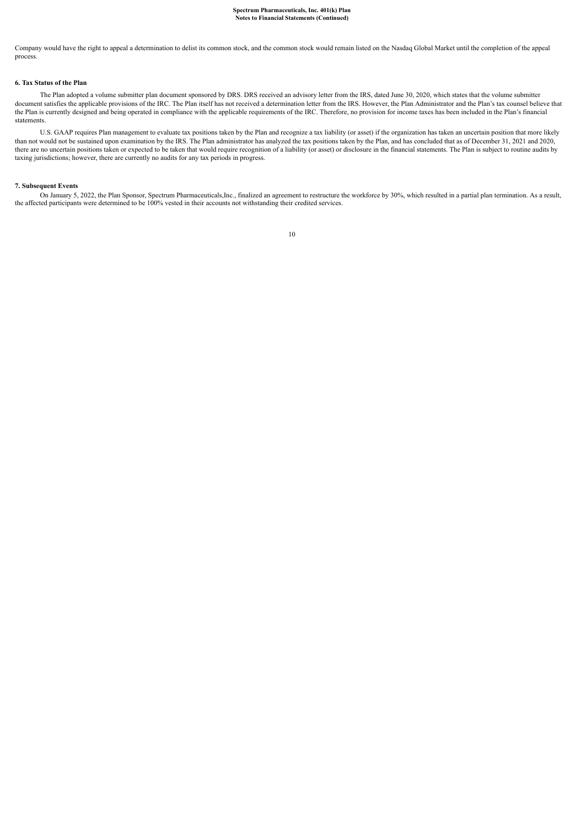Company would have the right to appeal a determination to delist its common stock, and the common stock would remain listed on the Nasdaq Global Market until the completion of the appeal process.

#### **6. Tax Status of the Plan**

The Plan adopted a volume submitter plan document sponsored by DRS. DRS received an advisory letter from the IRS, dated June 30, 2020, which states that the volume submitter document satisfies the applicable provisions of the IRC. The Plan itself has not received a determination letter from the IRS. However, the Plan Administrator and the Plan's tax counsel believe that the Plan is currently designed and being operated in compliance with the applicable requirements of the IRC. Therefore, no provision for income taxes has been included in the Plan's financial statements.

U.S. GAAP requires Plan management to evaluate tax positions taken by the Plan and recognize a tax liability (or asset) if the organization has taken an uncertain position that more likely than not would not be sustained upon examination by the IRS. The Plan administrator has analyzed the tax positions taken by the Plan, and has concluded that as of December 31, 2021 and 2020, there are no uncertain positions taken or expected to be taken that would require recognition of a liability (or asset) or disclosure in the financial statements. The Plan is subject to routine audits by taxing jurisdictions; however, there are currently no audits for any tax periods in progress.

#### **7. Subsequent Events**

On January 5, 2022, the Plan Sponsor, Spectrum Pharmaceuticals,Inc., finalized an agreement to restructure the workforce by 30%, which resulted in a partial plan termination. As a result, the affected participants were determined to be 100% vested in their accounts not withstanding their credited services.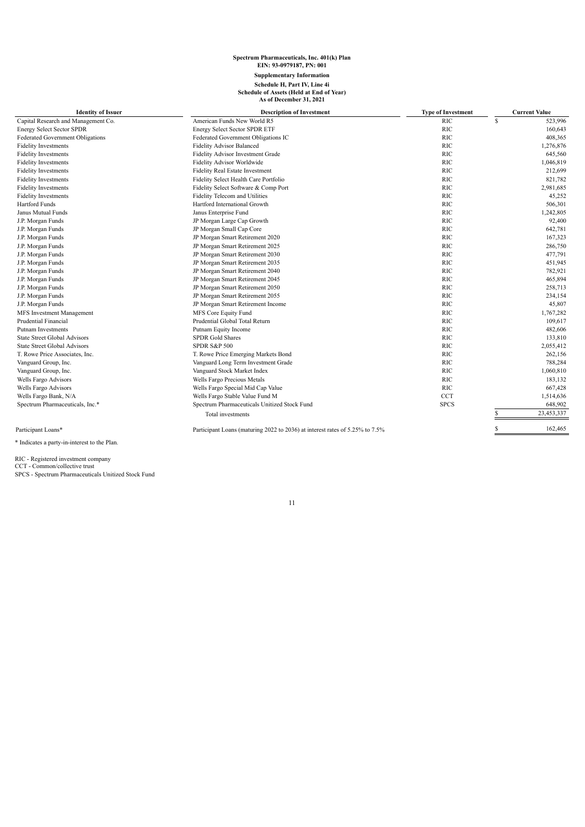## **Spectrum Pharmaceuticals, Inc. 401(k) Plan EIN: 93-0979187, PN: 001 Supplementary Information**

# **Schedule H, Part IV, Line 4i Schedule of Assets (Held at End of Year) As of December 31, 2021**

<span id="page-11-0"></span>

| <b>Identity of Issuer</b>           | <b>Description of Investment</b>                                             | <b>Type of Investment</b> | <b>Current Value</b>   |
|-------------------------------------|------------------------------------------------------------------------------|---------------------------|------------------------|
| Capital Research and Management Co. | American Funds New World R5                                                  | <b>RIC</b>                | $\mathbf S$<br>523,996 |
| <b>Energy Select Sector SPDR</b>    | Energy Select Sector SPDR ETF                                                | <b>RIC</b>                | 160,643                |
| Federated Government Obligations    | Federated Government Obligations IC                                          | <b>RIC</b>                | 408,365                |
| <b>Fidelity Investments</b>         | <b>Fidelity Advisor Balanced</b>                                             | <b>RIC</b>                | 1,276,876              |
| <b>Fidelity Investments</b>         | Fidelity Advisor Investment Grade                                            | <b>RIC</b>                | 645,560                |
| <b>Fidelity Investments</b>         | Fidelity Advisor Worldwide                                                   | <b>RIC</b>                | 1,046,819              |
| <b>Fidelity Investments</b>         | Fidelity Real Estate Investment                                              | <b>RIC</b>                | 212,699                |
| <b>Fidelity Investments</b>         | Fidelity Select Health Care Portfolio                                        | <b>RIC</b>                | 821,782                |
| <b>Fidelity Investments</b>         | Fidelity Select Software & Comp Port                                         | <b>RIC</b>                | 2,981,685              |
| <b>Fidelity Investments</b>         | Fidelity Telecom and Utilities                                               | <b>RIC</b>                | 45,252                 |
| <b>Hartford Funds</b>               | Hartford International Growth                                                | <b>RIC</b>                | 506,301                |
| Janus Mutual Funds                  | Janus Enterprise Fund                                                        | <b>RIC</b>                | 1,242,805              |
| J.P. Morgan Funds                   | JP Morgan Large Cap Growth                                                   | <b>RIC</b>                | 92,400                 |
| J.P. Morgan Funds                   | JP Morgan Small Cap Core                                                     | <b>RIC</b>                | 642,781                |
| J.P. Morgan Funds                   | JP Morgan Smart Retirement 2020                                              | <b>RIC</b>                | 167,323                |
| J.P. Morgan Funds                   | JP Morgan Smart Retirement 2025                                              | <b>RIC</b>                | 286,750                |
| J.P. Morgan Funds                   | JP Morgan Smart Retirement 2030                                              | <b>RIC</b>                | 477,791                |
| J.P. Morgan Funds                   | JP Morgan Smart Retirement 2035                                              | <b>RIC</b>                | 451,945                |
| J.P. Morgan Funds                   | JP Morgan Smart Retirement 2040                                              | <b>RIC</b>                | 782,921                |
| J.P. Morgan Funds                   | JP Morgan Smart Retirement 2045                                              | <b>RIC</b>                | 465,894                |
| J.P. Morgan Funds                   | JP Morgan Smart Retirement 2050                                              | <b>RIC</b>                | 258,713                |
| J.P. Morgan Funds                   | JP Morgan Smart Retirement 2055                                              | <b>RIC</b>                | 234,154                |
| J.P. Morgan Funds                   | JP Morgan Smart Retirement Income                                            | <b>RIC</b>                | 45,807                 |
| MFS Investment Management           | MFS Core Equity Fund                                                         | <b>RIC</b>                | 1,767,282              |
| Prudential Financial                | Prudential Global Total Return                                               | <b>RIC</b>                | 109,617                |
| <b>Putnam Investments</b>           | Putnam Equity Income                                                         | <b>RIC</b>                | 482,606                |
| <b>State Street Global Advisors</b> | <b>SPDR Gold Shares</b>                                                      | <b>RIC</b>                | 133,810                |
| <b>State Street Global Advisors</b> | <b>SPDR S&amp;P 500</b>                                                      | <b>RIC</b>                | 2,055,412              |
| T. Rowe Price Associates, Inc.      | T. Rowe Price Emerging Markets Bond                                          | <b>RIC</b>                | 262,156                |
| Vanguard Group, Inc.                | Vanguard Long Term Investment Grade                                          | <b>RIC</b>                | 788,284                |
| Vanguard Group, Inc.                | Vanguard Stock Market Index                                                  | <b>RIC</b>                | 1,060,810              |
| Wells Fargo Advisors                | Wells Fargo Precious Metals                                                  | <b>RIC</b>                | 183,132                |
| Wells Fargo Advisors                | Wells Fargo Special Mid Cap Value                                            | <b>RIC</b>                | 667,428                |
| Wells Fargo Bank, N/A               | Wells Fargo Stable Value Fund M                                              | <b>CCT</b>                | 1,514,636              |
| Spectrum Pharmaceuticals, Inc.*     | Spectrum Pharmaceuticals Unitized Stock Fund                                 | <b>SPCS</b>               | 648,902                |
|                                     | Total investments                                                            |                           | 23,453,337<br>S        |
| Participant Loans*                  | Participant Loans (maturing 2022 to 2036) at interest rates of 5.25% to 7.5% |                           | S<br>162,465           |

\* Indicates a party-in-interest to the Plan.

RIC - Registered investment company CCT - Common/collective trust

<span id="page-11-1"></span>SPCS - Spectrum Pharmaceuticals Unitized Stock Fund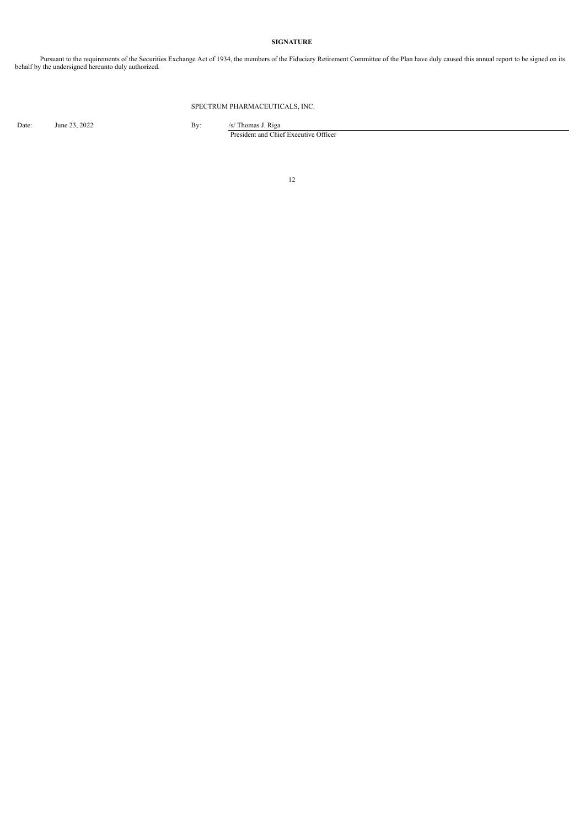## **SIGNATURE**

Pursuant to the requirements of the Securities Exchange Act of 1934, the members of the Fiduciary Retirement Committee of the Plan have duly caused this annual report to be signed on its behalf by the undersigned hereunto

## SPECTRUM PHARMACEUTICALS, INC.

<span id="page-12-0"></span>Date: June 23, 2022 By: /s/ Thomas J. Riga

President and Chief Executive Officer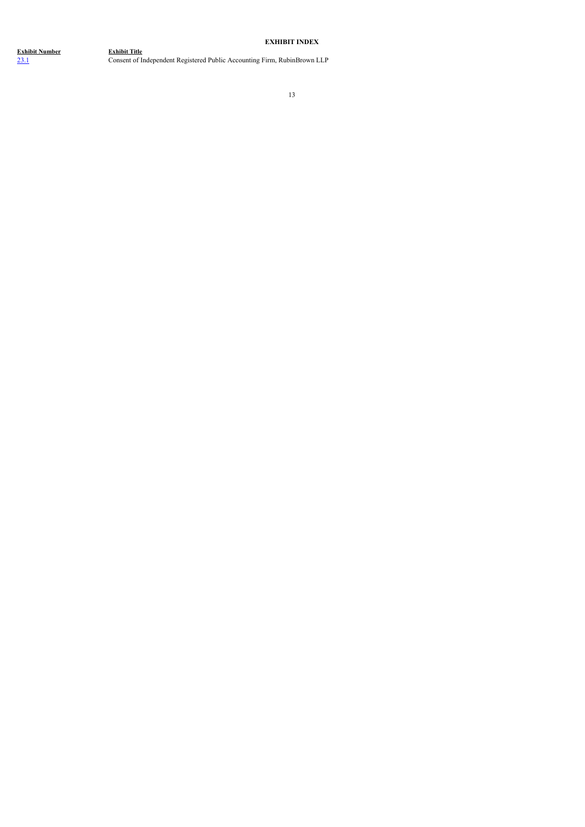**Exhibit Number**<br>23.1

# **EXHIBIT INDEX**  $\underline{\text{Exhibit Title}}$  Consent of Independent Registered Public Accounting Firm, RubinBrown LLP